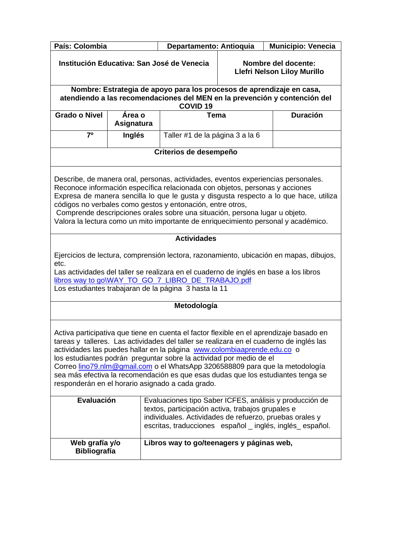| País: Colombia                                                                                                                                                                                                                                                                                                                                                                                                                                                                                                                                               |                                                 | Departamento: Antioquia                                                                                      | Municipio: Venecia                                 |                                                                            |
|--------------------------------------------------------------------------------------------------------------------------------------------------------------------------------------------------------------------------------------------------------------------------------------------------------------------------------------------------------------------------------------------------------------------------------------------------------------------------------------------------------------------------------------------------------------|-------------------------------------------------|--------------------------------------------------------------------------------------------------------------|----------------------------------------------------|----------------------------------------------------------------------------|
| Institución Educativa: San José de Venecia                                                                                                                                                                                                                                                                                                                                                                                                                                                                                                                   |                                                 |                                                                                                              | Nombre del docente:<br>Llefri Nelson Liloy Murillo |                                                                            |
|                                                                                                                                                                                                                                                                                                                                                                                                                                                                                                                                                              |                                                 | Nombre: Estrategia de apoyo para los procesos de aprendizaje en casa,<br><b>COVID 19</b>                     |                                                    | atendiendo a las recomendaciones del MEN en la prevención y contención del |
| <b>Grado o Nivel</b>                                                                                                                                                                                                                                                                                                                                                                                                                                                                                                                                         | Tema<br><b>Duración</b><br>Área o<br>Asignatura |                                                                                                              |                                                    |                                                                            |
| 70                                                                                                                                                                                                                                                                                                                                                                                                                                                                                                                                                           | Inglés                                          | Taller #1 de la página 3 a la 6                                                                              |                                                    |                                                                            |
|                                                                                                                                                                                                                                                                                                                                                                                                                                                                                                                                                              |                                                 | Criterios de desempeño                                                                                       |                                                    |                                                                            |
| Describe, de manera oral, personas, actividades, eventos experiencias personales.<br>Reconoce información específica relacionada con objetos, personas y acciones<br>Expresa de manera sencilla lo que le gusta y disgusta respecto a lo que hace, utiliza<br>códigos no verbales como gestos y entonación, entre otros,<br>Comprende descripciones orales sobre una situación, persona lugar u objeto.<br>Valora la lectura como un mito importante de enriquecimiento personal y académico.                                                                |                                                 |                                                                                                              |                                                    |                                                                            |
|                                                                                                                                                                                                                                                                                                                                                                                                                                                                                                                                                              |                                                 | <b>Actividades</b>                                                                                           |                                                    |                                                                            |
| Ejercicios de lectura, comprensión lectora, razonamiento, ubicación en mapas, dibujos,<br>etc.<br>Las actividades del taller se realizara en el cuaderno de inglés en base a los libros<br>libros way to go\WAY_TO_GO_7_LIBRO_DE_TRABAJO.pdf<br>Los estudiantes trabajaran de la página 3 hasta la 11                                                                                                                                                                                                                                                        |                                                 |                                                                                                              |                                                    |                                                                            |
| Metodología                                                                                                                                                                                                                                                                                                                                                                                                                                                                                                                                                  |                                                 |                                                                                                              |                                                    |                                                                            |
| Activa participativa que tiene en cuenta el factor flexible en el aprendizaje basado en<br>tareas y talleres. Las actividades del taller se realizara en el cuaderno de inglés las<br>actividades las puedes hallar en la página www.colombiaaprende.edu.co o<br>los estudiantes podrán preguntar sobre la actividad por medio de el<br>Correo lino79.nlm@gmail.com o el WhatsApp 3206588809 para que la metodología<br>sea más efectiva la recomendación es que esas dudas que los estudiantes tenga se<br>responderán en el horario asignado a cada grado. |                                                 |                                                                                                              |                                                    |                                                                            |
| Evaluación                                                                                                                                                                                                                                                                                                                                                                                                                                                                                                                                                   |                                                 |                                                                                                              |                                                    | Evaluaciones tipo Saber ICFES, análisis y producción de                    |
|                                                                                                                                                                                                                                                                                                                                                                                                                                                                                                                                                              |                                                 | textos, participación activa, trabajos grupales e<br>individuales. Actividades de refuerzo, pruebas orales y |                                                    | escritas, traducciones español _ inglés, inglés español.                   |
| Web grafía y/o<br>Libros way to go/teenagers y páginas web,<br><b>Bibliografía</b>                                                                                                                                                                                                                                                                                                                                                                                                                                                                           |                                                 |                                                                                                              |                                                    |                                                                            |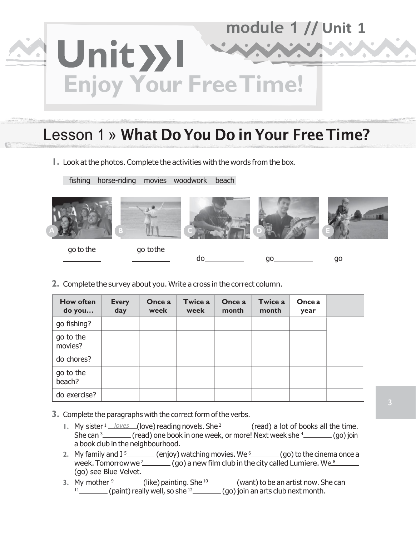# module 1 // Unit 1 Unit >>1 **Enjoy Your Free Time!**

## Lesson 1 » What Do You Do in Your Free Time?

**1.** Look at the photos. Complete the activities with the words from the box.

fishing horse-riding movies woodwork beach



**2.** Complete the survey about you. Write a cross in the correct column.

| <b>How often</b><br>do you | <b>Every</b><br>day | Once a<br>week | Twice a<br>week | Once a<br>month | Twice a<br>month | <b>Once a</b><br>year |  |
|----------------------------|---------------------|----------------|-----------------|-----------------|------------------|-----------------------|--|
| go fishing?                |                     |                |                 |                 |                  |                       |  |
| go to the<br>movies?       |                     |                |                 |                 |                  |                       |  |
| do chores?                 |                     |                |                 |                 |                  |                       |  |
| go to the<br>beach?        |                     |                |                 |                 |                  |                       |  |
| do exercise?               |                     |                |                 |                 |                  |                       |  |

- **3.** Complete the paragraphs with the correct form of the verbs.
	- 1. My sister <sup>1</sup> *loves* (love) reading novels. She <sup>2</sup> \_\_\_\_\_\_\_(read) a lot of books all the time. She can <sup>3</sup> \_\_\_\_\_\_\_\_ (read) one book in one week, or more! Next week she <sup>4</sup> \_\_\_\_\_\_\_\_ (go) join a book club in the neighbourhood.
	- 2. My family and I<sup>5</sup>\_\_\_\_\_\_\_\_(enjoy) watching movies. We <sup>6</sup>\_\_\_\_\_\_\_(go) to the cinema once a week. Tomorrow we <sup>7</sup>\_\_\_\_\_\_\_\_ (go) a new film club in the city called Lumiere. We  $^8$ (go) see Blue Velvet.
	- **3.** My mother <sup>9</sup>\_\_\_\_\_\_\_\_(like) painting. She <sup>10</sup>\_\_\_\_\_\_\_\_(want) to be an artist now. She can  $11$  (paint) really well, so she  $12$  (go) join an arts club next month.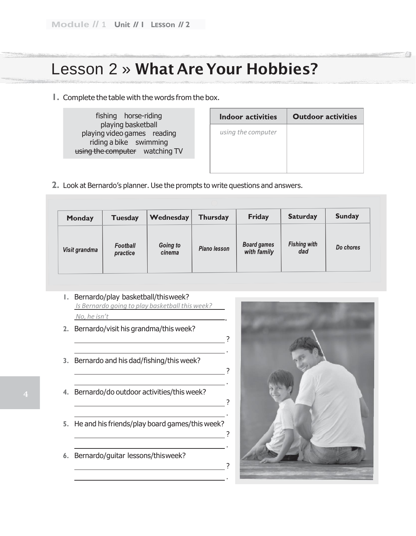#### Lesson 2 » What Are Your Hobbies?

**1.** Complete the table with the words from the box.

| fishing horse-riding                                                                                          | Indoor activities  | <b>Outdoor activities</b> |
|---------------------------------------------------------------------------------------------------------------|--------------------|---------------------------|
| playing basketball<br>playing video games reading<br>riding a bike swimming<br>using the computer watching TV | using the computer |                           |

**2.** Look at Bernardo's planner. Use the prompts to write questions and answers.

| <b>Monday</b> | <b>Tuesday</b>       | Wednesday          | <b>Thursday</b>     | <b>Friday</b>                     | <b>Saturday</b>            | <b>Sunday</b> |
|---------------|----------------------|--------------------|---------------------|-----------------------------------|----------------------------|---------------|
| Visit grandma | Football<br>practice | Going to<br>cinema | <b>Piano lesson</b> | <b>Board games</b><br>with family | <b>Fishing with</b><br>dad | Do chores     |

.

.

.

.

.

.

**1.** Bernardo/play basketball/thisweek? *Is Bernardo going to play basketball this week? No, he isn't*

<u> 1980 - Johann Barbara, martxa a</u>

- **2.** Bernardo/visit his grandma/this week?
- **3.** Bernardo and his dad/fishing/this week?
- **4.** Bernardo/do outdoor activities/this week?
- **5.** He and his friends/play board games/this week?
- **6.** Bernardo/guitar lessons/thisweek?

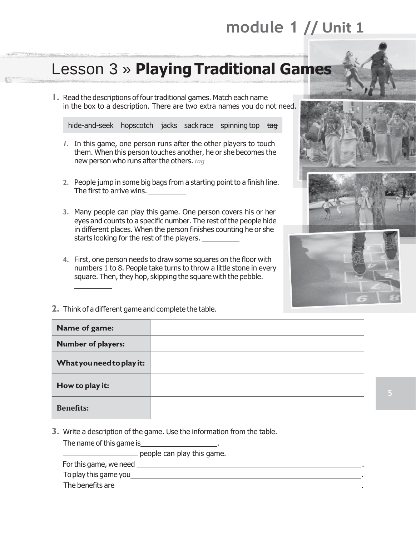# **module 1 // Unit 1**

## Lesson 3 » **Playing Traditional Games**

**1.** Read the descriptions of four traditional games. Match each name in the box to a description. There are two extra names you do not need.

hide-and-seek hopscotch jacks sack race spinning top tag

- *1.* In this game, one person runs after the other players to touch them. When this person touches another, he or she becomes the new person who runs after the others. *tag*
- **2.** People jump in some big bags from a starting point to a finish line. The first to arrive wins.
- **3.** Many people can play this game. One person covers his or her eyes and counts to a specific number. The rest of the people hide in different places. When the person finishes counting he or she starts looking for the rest of the players.
- **4.** First, one person needs to draw some squares on the floor with numbers 1 to 8. People take turns to throw a little stone in every square. Then, they hop, skipping the square with the pebble.



**2.** Think of a different game and complete the table.

| Name of game:             |  |
|---------------------------|--|
| <b>Number of players:</b> |  |
| What you need to play it: |  |
| How to play it:           |  |
| <b>Benefits:</b>          |  |

**3.** Write a description of the game. Use the information from the table.

The name of this game is **the name of the same is** 

people can play this game.

For this game, we need **example 20** For this game, we need

Toplay this game you .

The benefits are